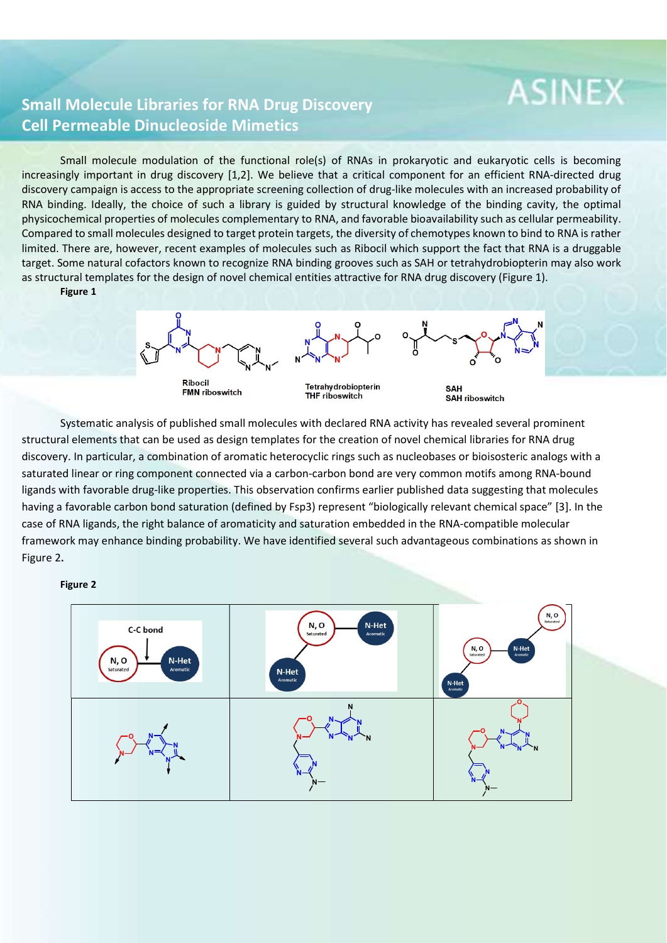## **ASINEX**

## Small Molecule Libraries for RNA Drug Discovery Cell Permeable Dinucleoside Mimetics

Small molecule modulation of the functional role(s) of RNAs in prokaryotic and eukaryotic cells is becoming increasingly important in drug discovery [1,2]. We believe that a critical component for an efficient RNA-directed drug discovery campaign is access to the appropriate screening collection of drug-like molecules with an increased probability of RNA binding. Ideally, the choice of such a library is guided by structural knowledge of the binding cavity, the optimal physicochemical properties of molecules complementary to RNA, and favorable bioavailability such as cellular permeability. Compared to small molecules designed to target protein targets, the diversity of chemotypes known to bind to RNA is rather limited. There are, however, recent examples of molecules such as Ribocil which support the fact that RNA is a druggable target. Some natural cofactors known to recognize RNA binding grooves such as SAH or tetrahydrobiopterin may also work as structural templates for the design of novel chemical entities attractive for RNA drug discovery (Figure 1).

Figure 1

**Ribocil FMN** riboswitch

**Tetrahy drobiopterin THF riboswitch** 

**SAH SAH riboswitch** 

Systematic analysis of published small molecules with declared RNA activity has revealed several prominent structural elements that can be used as design templates for the creation of novel chemical libraries for RNA drug discovery. In particular, a combination of aromatic heterocyclic rings such as nucleobases or bioisosteric analogs with a saturated linear or ring component connected via a carbon-carbon bond are very common motifs among RNA-bound ligands with favorable drug-like properties. This observation confirms earlier published data suggesting that molecules having a favorable carbon bond saturation (defined by Fsp3) represent "biologically relevant chemical space" [3]. In the case of RNA ligands, the right balance of aromaticity and saturation embedded in the RNA-compatible molecular framework may enhance binding probability. We have identified several such advantageous combinations as shown in Figure 2.<br>**Figure 2**